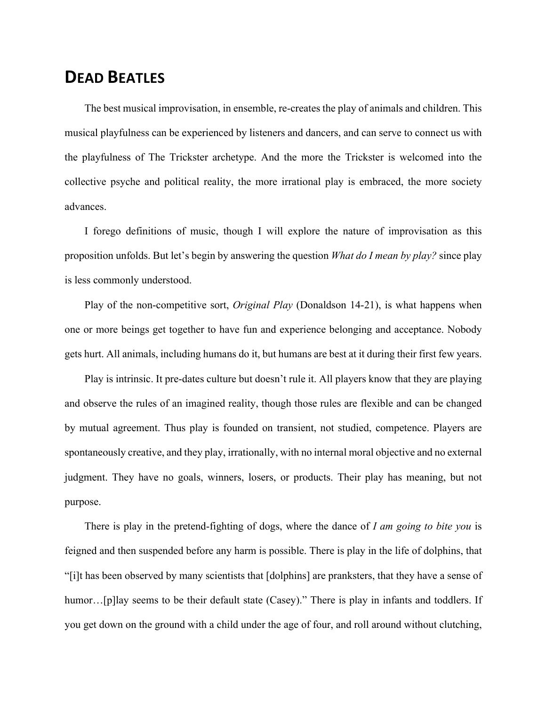# **DEAD BEATLES**

The best musical improvisation, in ensemble, re-creates the play of animals and children. This musical playfulness can be experienced by listeners and dancers, and can serve to connect us with the playfulness of The Trickster archetype. And the more the Trickster is welcomed into the collective psyche and political reality, the more irrational play is embraced, the more society advances.

I forego definitions of music, though I will explore the nature of improvisation as this proposition unfolds. But let's begin by answering the question *What do I mean by play?* since play is less commonly understood.

Play of the non-competitive sort, *Original Play* (Donaldson 14-21), is what happens when one or more beings get together to have fun and experience belonging and acceptance. Nobody gets hurt. All animals, including humans do it, but humans are best at it during their first few years.

Play is intrinsic. It pre-dates culture but doesn't rule it. All players know that they are playing and observe the rules of an imagined reality, though those rules are flexible and can be changed by mutual agreement. Thus play is founded on transient, not studied, competence. Players are spontaneously creative, and they play, irrationally, with no internal moral objective and no external judgment. They have no goals, winners, losers, or products. Their play has meaning, but not purpose.

There is play in the pretend-fighting of dogs, where the dance of *I am going to bite you* is feigned and then suspended before any harm is possible. There is play in the life of dolphins, that "[i]t has been observed by many scientists that [dolphins] are pranksters, that they have a sense of humor...[p] lay seems to be their default state (Casey)." There is play in infants and toddlers. If you get down on the ground with a child under the age of four, and roll around without clutching,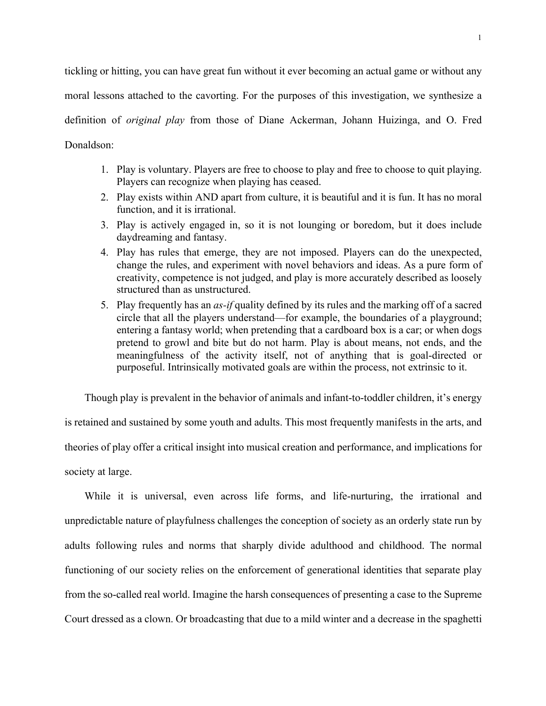tickling or hitting, you can have great fun without it ever becoming an actual game or without any moral lessons attached to the cavorting. For the purposes of this investigation, we synthesize a definition of *original play* from those of Diane Ackerman, Johann Huizinga, and O. Fred Donaldson:

- 1. Play is voluntary. Players are free to choose to play and free to choose to quit playing. Players can recognize when playing has ceased.
- 2. Play exists within AND apart from culture, it is beautiful and it is fun. It has no moral function, and it is irrational.
- 3. Play is actively engaged in, so it is not lounging or boredom, but it does include daydreaming and fantasy.
- 4. Play has rules that emerge, they are not imposed. Players can do the unexpected, change the rules, and experiment with novel behaviors and ideas. As a pure form of creativity, competence is not judged, and play is more accurately described as loosely structured than as unstructured.
- 5. Play frequently has an *as-if* quality defined by its rules and the marking off of a sacred circle that all the players understand—for example, the boundaries of a playground; entering a fantasy world; when pretending that a cardboard box is a car; or when dogs pretend to growl and bite but do not harm. Play is about means, not ends, and the meaningfulness of the activity itself, not of anything that is goal-directed or purposeful. Intrinsically motivated goals are within the process, not extrinsic to it.

Though play is prevalent in the behavior of animals and infant-to-toddler children, it's energy is retained and sustained by some youth and adults. This most frequently manifests in the arts, and theories of play offer a critical insight into musical creation and performance, and implications for society at large.

While it is universal, even across life forms, and life-nurturing, the irrational and unpredictable nature of playfulness challenges the conception of society as an orderly state run by adults following rules and norms that sharply divide adulthood and childhood. The normal functioning of our society relies on the enforcement of generational identities that separate play from the so-called real world. Imagine the harsh consequences of presenting a case to the Supreme Court dressed as a clown. Or broadcasting that due to a mild winter and a decrease in the spaghetti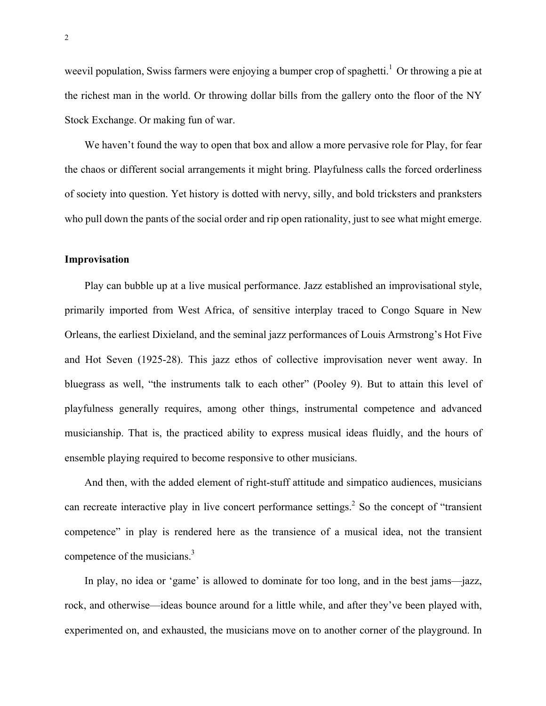weevil population, Swiss farmers were enjoying a bumper crop of spaghetti.<sup>1</sup> Or throwing a pie at the richest man in the world. Or throwing dollar bills from the gallery onto the floor of the NY Stock Exchange. Or making fun of war.

We haven't found the way to open that box and allow a more pervasive role for Play, for fear the chaos or different social arrangements it might bring. Playfulness calls the forced orderliness of society into question. Yet history is dotted with nervy, silly, and bold tricksters and pranksters who pull down the pants of the social order and rip open rationality, just to see what might emerge.

### **Improvisation**

Play can bubble up at a live musical performance. Jazz established an improvisational style, primarily imported from West Africa, of sensitive interplay traced to Congo Square in New Orleans, the earliest Dixieland, and the seminal jazz performances of Louis Armstrong's Hot Five and Hot Seven (1925-28). This jazz ethos of collective improvisation never went away. In bluegrass as well, "the instruments talk to each other" (Pooley 9). But to attain this level of playfulness generally requires, among other things, instrumental competence and advanced musicianship. That is, the practiced ability to express musical ideas fluidly, and the hours of ensemble playing required to become responsive to other musicians.

And then, with the added element of right-stuff attitude and simpatico audiences, musicians can recreate interactive play in live concert performance settings. <sup>2</sup> So the concept of "transient competence" in play is rendered here as the transience of a musical idea, not the transient competence of the musicians.<sup>3</sup>

In play, no idea or 'game' is allowed to dominate for too long, and in the best jams—jazz, rock, and otherwise—ideas bounce around for a little while, and after they've been played with, experimented on, and exhausted, the musicians move on to another corner of the playground. In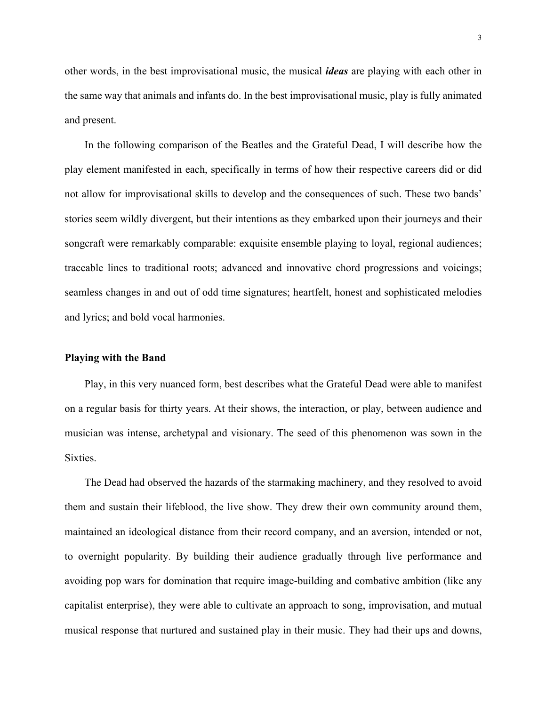other words, in the best improvisational music, the musical *ideas* are playing with each other in the same way that animals and infants do. In the best improvisational music, play is fully animated and present.

In the following comparison of the Beatles and the Grateful Dead, I will describe how the play element manifested in each, specifically in terms of how their respective careers did or did not allow for improvisational skills to develop and the consequences of such. These two bands' stories seem wildly divergent, but their intentions as they embarked upon their journeys and their songcraft were remarkably comparable: exquisite ensemble playing to loyal, regional audiences; traceable lines to traditional roots; advanced and innovative chord progressions and voicings; seamless changes in and out of odd time signatures; heartfelt, honest and sophisticated melodies and lyrics; and bold vocal harmonies.

## **Playing with the Band**

Play, in this very nuanced form, best describes what the Grateful Dead were able to manifest on a regular basis for thirty years. At their shows, the interaction, or play, between audience and musician was intense, archetypal and visionary. The seed of this phenomenon was sown in the Sixties.

The Dead had observed the hazards of the starmaking machinery, and they resolved to avoid them and sustain their lifeblood, the live show. They drew their own community around them, maintained an ideological distance from their record company, and an aversion, intended or not, to overnight popularity. By building their audience gradually through live performance and avoiding pop wars for domination that require image-building and combative ambition (like any capitalist enterprise), they were able to cultivate an approach to song, improvisation, and mutual musical response that nurtured and sustained play in their music. They had their ups and downs,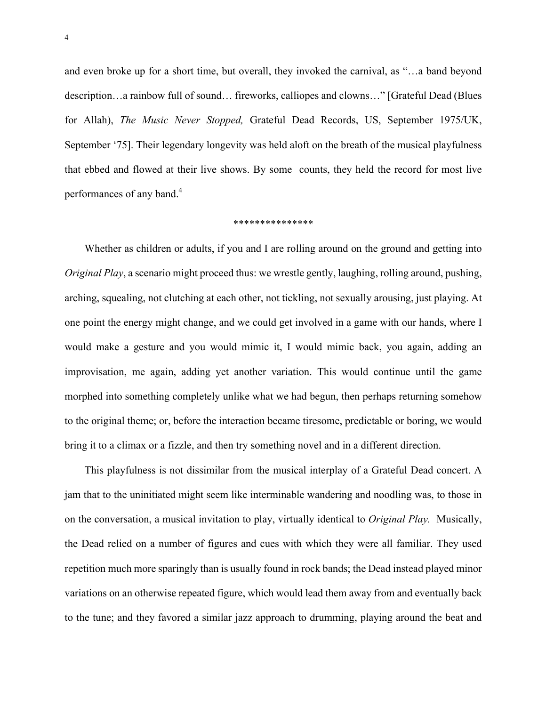and even broke up for a short time, but overall, they invoked the carnival, as "…a band beyond description…a rainbow full of sound… fireworks, calliopes and clowns…" [Grateful Dead (Blues for Allah), *The Music Never Stopped,* Grateful Dead Records, US, September 1975/UK, September '75]. Their legendary longevity was held aloft on the breath of the musical playfulness that ebbed and flowed at their live shows. By some counts, they held the record for most live performances of any band. 4

#### \*\*\*\*\*\*\*\*\*\*\*\*\*\*\*

Whether as children or adults, if you and I are rolling around on the ground and getting into *Original Play*, a scenario might proceed thus: we wrestle gently, laughing, rolling around, pushing, arching, squealing, not clutching at each other, not tickling, not sexually arousing, just playing. At one point the energy might change, and we could get involved in a game with our hands, where I would make a gesture and you would mimic it, I would mimic back, you again, adding an improvisation, me again, adding yet another variation. This would continue until the game morphed into something completely unlike what we had begun, then perhaps returning somehow to the original theme; or, before the interaction became tiresome, predictable or boring, we would bring it to a climax or a fizzle, and then try something novel and in a different direction.

This playfulness is not dissimilar from the musical interplay of a Grateful Dead concert. A jam that to the uninitiated might seem like interminable wandering and noodling was, to those in on the conversation, a musical invitation to play, virtually identical to *Original Play.* Musically, the Dead relied on a number of figures and cues with which they were all familiar. They used repetition much more sparingly than is usually found in rock bands; the Dead instead played minor variations on an otherwise repeated figure, which would lead them away from and eventually back to the tune; and they favored a similar jazz approach to drumming, playing around the beat and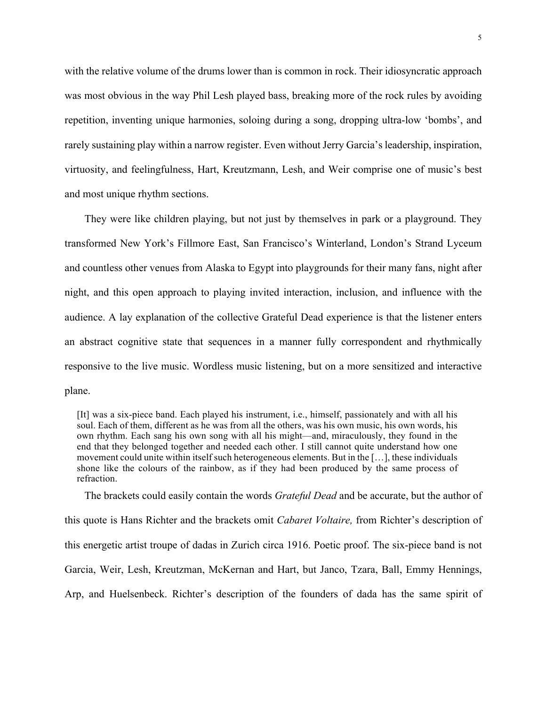with the relative volume of the drums lower than is common in rock. Their idiosyncratic approach was most obvious in the way Phil Lesh played bass, breaking more of the rock rules by avoiding repetition, inventing unique harmonies, soloing during a song, dropping ultra-low 'bombs', and rarely sustaining play within a narrow register. Even without Jerry Garcia's leadership, inspiration, virtuosity, and feelingfulness, Hart, Kreutzmann, Lesh, and Weir comprise one of music's best and most unique rhythm sections.

They were like children playing, but not just by themselves in park or a playground. They transformed New York's Fillmore East, San Francisco's Winterland, London's Strand Lyceum and countless other venues from Alaska to Egypt into playgrounds for their many fans, night after night, and this open approach to playing invited interaction, inclusion, and influence with the audience. A lay explanation of the collective Grateful Dead experience is that the listener enters an abstract cognitive state that sequences in a manner fully correspondent and rhythmically responsive to the live music. Wordless music listening, but on a more sensitized and interactive plane.

[It] was a six-piece band. Each played his instrument, i.e., himself, passionately and with all his soul. Each of them, different as he was from all the others, was his own music, his own words, his own rhythm. Each sang his own song with all his might—and, miraculously, they found in the end that they belonged together and needed each other. I still cannot quite understand how one movement could unite within itself such heterogeneous elements. But in the […], these individuals shone like the colours of the rainbow, as if they had been produced by the same process of refraction.

The brackets could easily contain the words *Grateful Dead* and be accurate, but the author of this quote is Hans Richter and the brackets omit *Cabaret Voltaire,* from Richter's description of this energetic artist troupe of dadas in Zurich circa 1916. Poetic proof. The six-piece band is not Garcia, Weir, Lesh, Kreutzman, McKernan and Hart, but Janco, Tzara, Ball, Emmy Hennings, Arp, and Huelsenbeck. Richter's description of the founders of dada has the same spirit of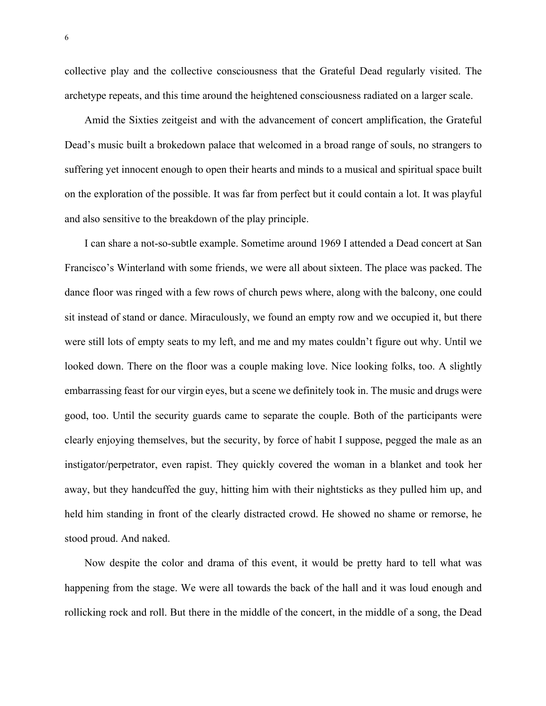collective play and the collective consciousness that the Grateful Dead regularly visited. The archetype repeats, and this time around the heightened consciousness radiated on a larger scale.

Amid the Sixties zeitgeist and with the advancement of concert amplification, the Grateful Dead's music built a brokedown palace that welcomed in a broad range of souls, no strangers to suffering yet innocent enough to open their hearts and minds to a musical and spiritual space built on the exploration of the possible. It was far from perfect but it could contain a lot. It was playful and also sensitive to the breakdown of the play principle.

I can share a not-so-subtle example. Sometime around 1969 I attended a Dead concert at San Francisco's Winterland with some friends, we were all about sixteen. The place was packed. The dance floor was ringed with a few rows of church pews where, along with the balcony, one could sit instead of stand or dance. Miraculously, we found an empty row and we occupied it, but there were still lots of empty seats to my left, and me and my mates couldn't figure out why. Until we looked down. There on the floor was a couple making love. Nice looking folks, too. A slightly embarrassing feast for our virgin eyes, but a scene we definitely took in. The music and drugs were good, too. Until the security guards came to separate the couple. Both of the participants were clearly enjoying themselves, but the security, by force of habit I suppose, pegged the male as an instigator/perpetrator, even rapist. They quickly covered the woman in a blanket and took her away, but they handcuffed the guy, hitting him with their nightsticks as they pulled him up, and held him standing in front of the clearly distracted crowd. He showed no shame or remorse, he stood proud. And naked.

Now despite the color and drama of this event, it would be pretty hard to tell what was happening from the stage. We were all towards the back of the hall and it was loud enough and rollicking rock and roll. But there in the middle of the concert, in the middle of a song, the Dead

6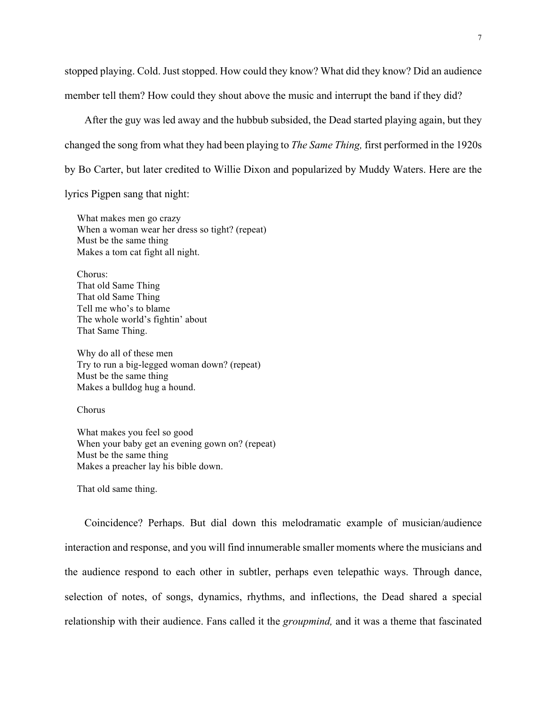stopped playing. Cold. Just stopped. How could they know? What did they know? Did an audience member tell them? How could they shout above the music and interrupt the band if they did?

After the guy was led away and the hubbub subsided, the Dead started playing again, but they changed the song from what they had been playing to *The Same Thing,* first performed in the 1920s by Bo Carter, but later credited to Willie Dixon and popularized by Muddy Waters. Here are the

lyrics Pigpen sang that night:

What makes men go crazy When a woman wear her dress so tight? (repeat) Must be the same thing Makes a tom cat fight all night.

Chorus: That old Same Thing That old Same Thing Tell me who's to blame The whole world's fightin' about That Same Thing.

Why do all of these men Try to run a big-legged woman down? (repeat) Must be the same thing Makes a bulldog hug a hound.

Chorus

What makes you feel so good When your baby get an evening gown on? (repeat) Must be the same thing Makes a preacher lay his bible down.

That old same thing.

Coincidence? Perhaps. But dial down this melodramatic example of musician/audience interaction and response, and you will find innumerable smaller moments where the musicians and the audience respond to each other in subtler, perhaps even telepathic ways. Through dance, selection of notes, of songs, dynamics, rhythms, and inflections, the Dead shared a special relationship with their audience. Fans called it the *groupmind,* and it was a theme that fascinated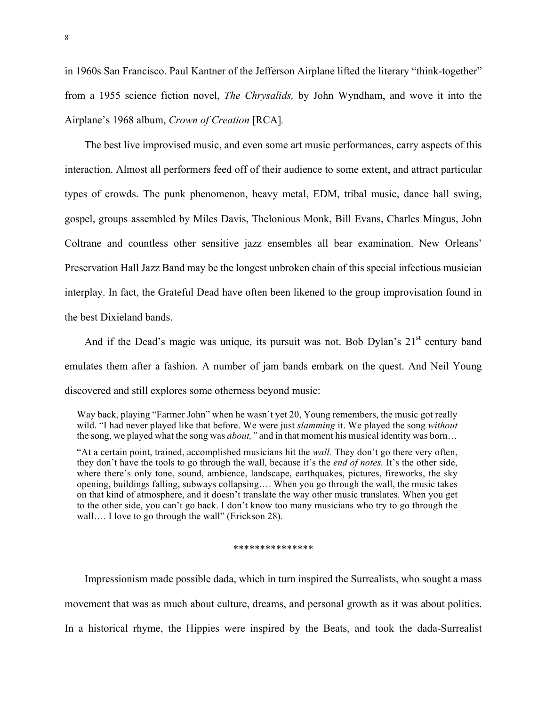in 1960s San Francisco. Paul Kantner of the Jefferson Airplane lifted the literary "think-together" from a 1955 science fiction novel, *The Chrysalids,* by John Wyndham, and wove it into the Airplane's 1968 album, *Crown of Creation* [RCA]*.*

The best live improvised music, and even some art music performances, carry aspects of this interaction. Almost all performers feed off of their audience to some extent, and attract particular types of crowds. The punk phenomenon, heavy metal, EDM, tribal music, dance hall swing, gospel, groups assembled by Miles Davis, Thelonious Monk, Bill Evans, Charles Mingus, John Coltrane and countless other sensitive jazz ensembles all bear examination. New Orleans' Preservation Hall Jazz Band may be the longest unbroken chain of this special infectious musician interplay. In fact, the Grateful Dead have often been likened to the group improvisation found in the best Dixieland bands.

And if the Dead's magic was unique, its pursuit was not. Bob Dylan's  $21<sup>st</sup>$  century band emulates them after a fashion. A number of jam bands embark on the quest. And Neil Young discovered and still explores some otherness beyond music:

Way back, playing "Farmer John" when he wasn't yet 20, Young remembers, the music got really wild. "I had never played like that before. We were just *slamming* it. We played the song *without*  the song, we played what the song was *about,"* and in that moment his musical identity was born…

"At a certain point, trained, accomplished musicians hit the *wall.* They don't go there very often, they don't have the tools to go through the wall, because it's the *end of notes.* It's the other side, where there's only tone, sound, ambience, landscape, earthquakes, pictures, fireworks, the sky opening, buildings falling, subways collapsing…. When you go through the wall, the music takes on that kind of atmosphere, and it doesn't translate the way other music translates. When you get to the other side, you can't go back. I don't know too many musicians who try to go through the wall.... I love to go through the wall" (Erickson 28).

#### \*\*\*\*\*\*\*\*\*\*\*\*\*\*\*

Impressionism made possible dada, which in turn inspired the Surrealists, who sought a mass movement that was as much about culture, dreams, and personal growth as it was about politics. In a historical rhyme, the Hippies were inspired by the Beats, and took the dada-Surrealist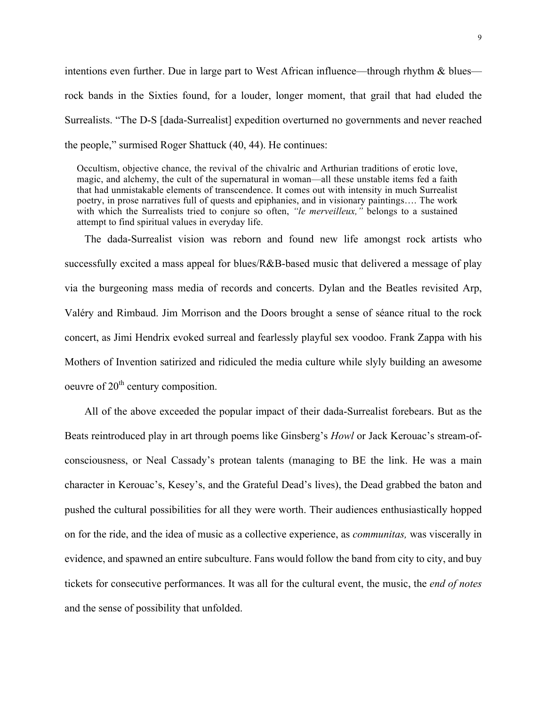intentions even further. Due in large part to West African influence—through rhythm & blues rock bands in the Sixties found, for a louder, longer moment, that grail that had eluded the Surrealists. "The D-S [dada-Surrealist] expedition overturned no governments and never reached the people," surmised Roger Shattuck (40, 44). He continues:

Occultism, objective chance, the revival of the chivalric and Arthurian traditions of erotic love, magic, and alchemy, the cult of the supernatural in woman—all these unstable items fed a faith that had unmistakable elements of transcendence. It comes out with intensity in much Surrealist poetry, in prose narratives full of quests and epiphanies, and in visionary paintings…. The work with which the Surrealists tried to conjure so often, *"le merveilleux*," belongs to a sustained attempt to find spiritual values in everyday life.

The dada-Surrealist vision was reborn and found new life amongst rock artists who successfully excited a mass appeal for blues/R&B-based music that delivered a message of play via the burgeoning mass media of records and concerts. Dylan and the Beatles revisited Arp, Valéry and Rimbaud. Jim Morrison and the Doors brought a sense of séance ritual to the rock concert, as Jimi Hendrix evoked surreal and fearlessly playful sex voodoo. Frank Zappa with his Mothers of Invention satirized and ridiculed the media culture while slyly building an awesome oeuvre of  $20<sup>th</sup>$  century composition.

All of the above exceeded the popular impact of their dada-Surrealist forebears. But as the Beats reintroduced play in art through poems like Ginsberg's *Howl* or Jack Kerouac's stream-ofconsciousness, or Neal Cassady's protean talents (managing to BE the link. He was a main character in Kerouac's, Kesey's, and the Grateful Dead's lives), the Dead grabbed the baton and pushed the cultural possibilities for all they were worth. Their audiences enthusiastically hopped on for the ride, and the idea of music as a collective experience, as *communitas,* was viscerally in evidence, and spawned an entire subculture. Fans would follow the band from city to city, and buy tickets for consecutive performances. It was all for the cultural event, the music, the *end of notes* and the sense of possibility that unfolded.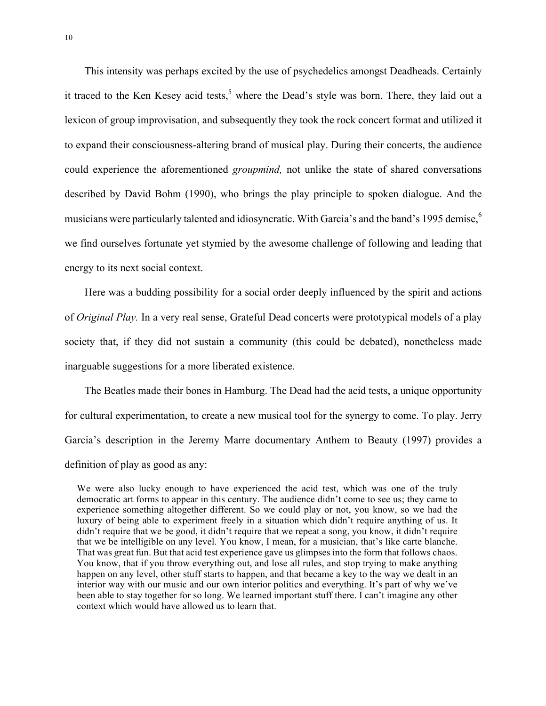This intensity was perhaps excited by the use of psychedelics amongst Deadheads. Certainly it traced to the Ken Kesey acid tests,<sup>5</sup> where the Dead's style was born. There, they laid out a lexicon of group improvisation, and subsequently they took the rock concert format and utilized it to expand their consciousness-altering brand of musical play. During their concerts, the audience could experience the aforementioned *groupmind,* not unlike the state of shared conversations described by David Bohm (1990), who brings the play principle to spoken dialogue. And the musicians were particularly talented and idiosyncratic. With Garcia's and the band's 1995 demise, <sup>6</sup> we find ourselves fortunate yet stymied by the awesome challenge of following and leading that energy to its next social context.

Here was a budding possibility for a social order deeply influenced by the spirit and actions of *Original Play.* In a very real sense, Grateful Dead concerts were prototypical models of a play society that, if they did not sustain a community (this could be debated), nonetheless made inarguable suggestions for a more liberated existence.

The Beatles made their bones in Hamburg. The Dead had the acid tests, a unique opportunity for cultural experimentation, to create a new musical tool for the synergy to come. To play. Jerry Garcia's description in the Jeremy Marre documentary Anthem to Beauty (1997) provides a definition of play as good as any:

We were also lucky enough to have experienced the acid test, which was one of the truly democratic art forms to appear in this century. The audience didn't come to see us; they came to experience something altogether different. So we could play or not, you know, so we had the luxury of being able to experiment freely in a situation which didn't require anything of us. It didn't require that we be good, it didn't require that we repeat a song, you know, it didn't require that we be intelligible on any level. You know, I mean, for a musician, that's like carte blanche. That was great fun. But that acid test experience gave us glimpses into the form that follows chaos. You know, that if you throw everything out, and lose all rules, and stop trying to make anything happen on any level, other stuff starts to happen, and that became a key to the way we dealt in an interior way with our music and our own interior politics and everything. It's part of why we've been able to stay together for so long. We learned important stuff there. I can't imagine any other context which would have allowed us to learn that.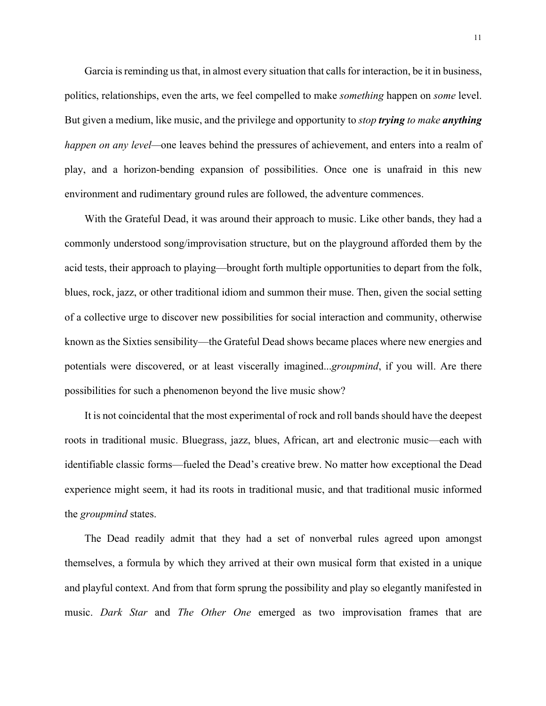Garcia is reminding us that, in almost every situation that calls for interaction, be it in business, politics, relationships, even the arts, we feel compelled to make *something* happen on *some* level. But given a medium, like music, and the privilege and opportunity to *stop trying to make anything happen on any level—*one leaves behind the pressures of achievement, and enters into a realm of play, and a horizon-bending expansion of possibilities. Once one is unafraid in this new environment and rudimentary ground rules are followed, the adventure commences.

With the Grateful Dead, it was around their approach to music. Like other bands, they had a commonly understood song/improvisation structure, but on the playground afforded them by the acid tests, their approach to playing—brought forth multiple opportunities to depart from the folk, blues, rock, jazz, or other traditional idiom and summon their muse. Then, given the social setting of a collective urge to discover new possibilities for social interaction and community, otherwise known as the Sixties sensibility—the Grateful Dead shows became places where new energies and potentials were discovered, or at least viscerally imagined...*groupmind*, if you will. Are there possibilities for such a phenomenon beyond the live music show?

It is not coincidental that the most experimental of rock and roll bands should have the deepest roots in traditional music. Bluegrass, jazz, blues, African, art and electronic music—each with identifiable classic forms—fueled the Dead's creative brew. No matter how exceptional the Dead experience might seem, it had its roots in traditional music, and that traditional music informed the *groupmind* states.

The Dead readily admit that they had a set of nonverbal rules agreed upon amongst themselves, a formula by which they arrived at their own musical form that existed in a unique and playful context. And from that form sprung the possibility and play so elegantly manifested in music. *Dark Star* and *The Other One* emerged as two improvisation frames that are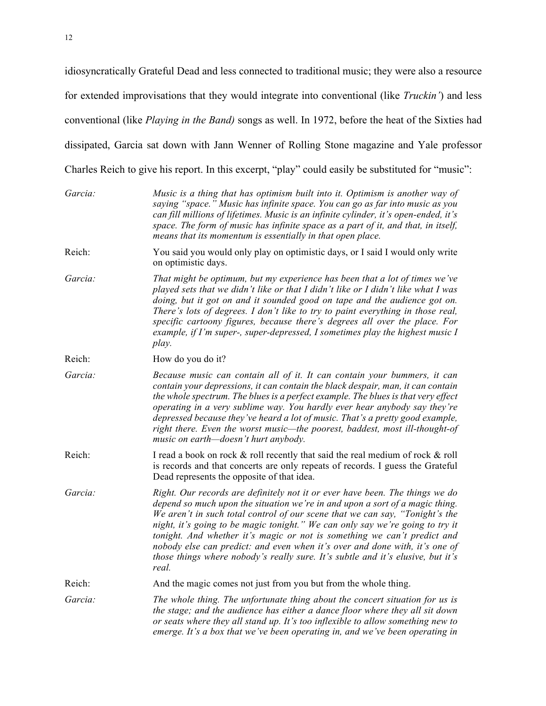idiosyncratically Grateful Dead and less connected to traditional music; they were also a resource for extended improvisations that they would integrate into conventional (like *Truckin'*) and less conventional (like *Playing in the Band)* songs as well. In 1972, before the heat of the Sixties had dissipated, Garcia sat down with Jann Wenner of Rolling Stone magazine and Yale professor Charles Reich to give his report. In this excerpt, "play" could easily be substituted for "music":

*Garcia: Music is a thing that has optimism built into it. Optimism is another way of saying "space." Music has infinite space. You can go as far into music as you can fill millions of lifetimes. Music is an infinite cylinder, it's open-ended, it's space. The form of music has infinite space as a part of it, and that, in itself, means that its momentum is essentially in that open place.* Reich: You said you would only play on optimistic days, or I said I would only write on optimistic days. *Garcia: That might be optimum, but my experience has been that a lot of times we've played sets that we didn't like or that I didn't like or I didn't like what I was doing, but it got on and it sounded good on tape and the audience got on. There's lots of degrees. I don't like to try to paint everything in those real, specific cartoony figures, because there's degrees all over the place. For example, if I'm super-, super-depressed, I sometimes play the highest music I play.* Reich: How do you do it? *Garcia: Because music can contain all of it. It can contain your bummers, it can contain your depressions, it can contain the black despair, man, it can contain the whole spectrum. The blues is a perfect example. The blues is that very effect operating in a very sublime way. You hardly ever hear anybody say they're depressed because they've heard a lot of music. That's a pretty good example, right there. Even the worst music—the poorest, baddest, most ill-thought-of music on earth—doesn't hurt anybody.* Reich: I read a book on rock & roll recently that said the real medium of rock & roll is records and that concerts are only repeats of records. I guess the Grateful Dead represents the opposite of that idea. *Garcia: Right. Our records are definitely not it or ever have been. The things we do depend so much upon the situation we're in and upon a sort of a magic thing. We aren't in such total control of our scene that we can say, "Tonight's the night, it's going to be magic tonight." We can only say we're going to try it tonight. And whether it's magic or not is something we can't predict and nobody else can predict: and even when it's over and done with, it's one of those things where nobody's really sure. It's subtle and it's elusive, but it's real.* Reich: And the magic comes not just from you but from the whole thing. *Garcia: The whole thing. The unfortunate thing about the concert situation for us is the stage; and the audience has either a dance floor where they all sit down or seats where they all stand up. It's too inflexible to allow something new to emerge. It's a box that we've been operating in, and we've been operating in*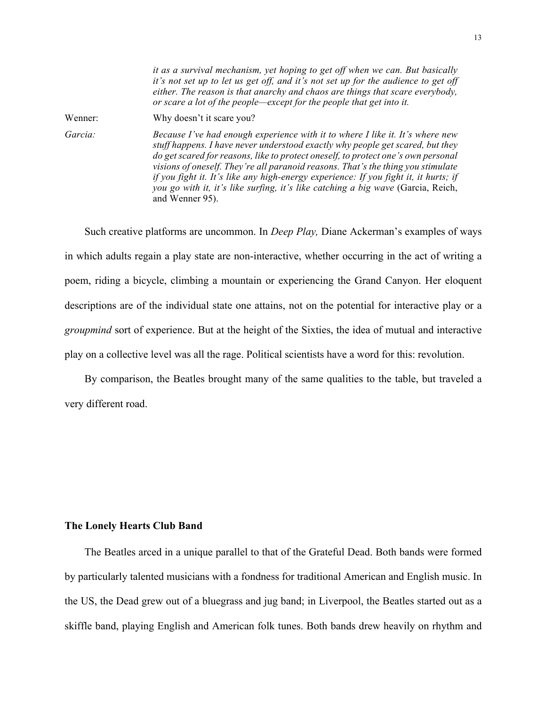*it as a survival mechanism, yet hoping to get off when we can. But basically it's not set up to let us get off, and it's not set up for the audience to get off either. The reason is that anarchy and chaos are things that scare everybody, or scare a lot of the people—except for the people that get into it.* Wenner: Why doesn't it scare you? *Garcia: Because I've had enough experience with it to where I like it. It's where new stuff happens. I have never understood exactly why people get scared, but they do get scared for reasons, like to protect oneself, to protect one's own personal visions of oneself. They're all paranoid reasons. That's the thing you stimulate if you fight it. It's like any high-energy experience: If you fight it, it hurts; if you go with it, it's like surfing, it's like catching a big wave* (Garcia, Reich, and Wenner 95).

Such creative platforms are uncommon. In *Deep Play,* Diane Ackerman's examples of ways in which adults regain a play state are non-interactive, whether occurring in the act of writing a poem, riding a bicycle, climbing a mountain or experiencing the Grand Canyon. Her eloquent descriptions are of the individual state one attains, not on the potential for interactive play or a *groupmind* sort of experience. But at the height of the Sixties, the idea of mutual and interactive play on a collective level was all the rage. Political scientists have a word for this: revolution.

By comparison, the Beatles brought many of the same qualities to the table, but traveled a very different road.

### **The Lonely Hearts Club Band**

The Beatles arced in a unique parallel to that of the Grateful Dead. Both bands were formed by particularly talented musicians with a fondness for traditional American and English music. In the US, the Dead grew out of a bluegrass and jug band; in Liverpool, the Beatles started out as a skiffle band, playing English and American folk tunes. Both bands drew heavily on rhythm and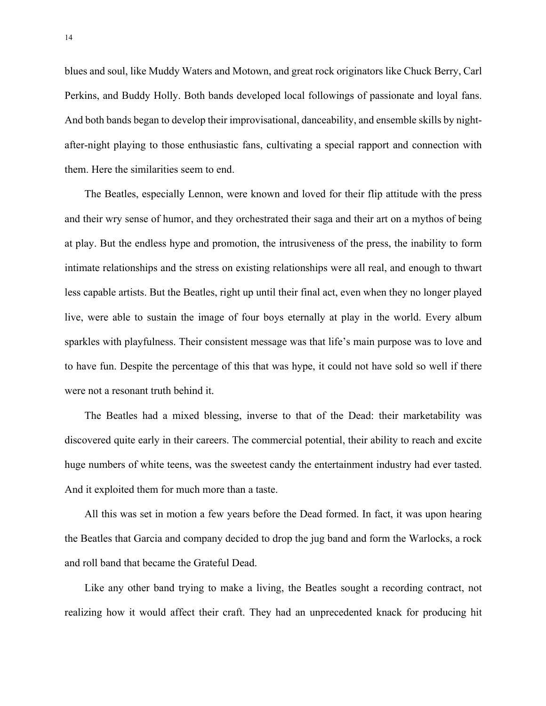blues and soul, like Muddy Waters and Motown, and great rock originators like Chuck Berry, Carl Perkins, and Buddy Holly. Both bands developed local followings of passionate and loyal fans. And both bands began to develop their improvisational, danceability, and ensemble skills by nightafter-night playing to those enthusiastic fans, cultivating a special rapport and connection with them. Here the similarities seem to end.

The Beatles, especially Lennon, were known and loved for their flip attitude with the press and their wry sense of humor, and they orchestrated their saga and their art on a mythos of being at play. But the endless hype and promotion, the intrusiveness of the press, the inability to form intimate relationships and the stress on existing relationships were all real, and enough to thwart less capable artists. But the Beatles, right up until their final act, even when they no longer played live, were able to sustain the image of four boys eternally at play in the world. Every album sparkles with playfulness. Their consistent message was that life's main purpose was to love and to have fun. Despite the percentage of this that was hype, it could not have sold so well if there were not a resonant truth behind it.

The Beatles had a mixed blessing, inverse to that of the Dead: their marketability was discovered quite early in their careers. The commercial potential, their ability to reach and excite huge numbers of white teens, was the sweetest candy the entertainment industry had ever tasted. And it exploited them for much more than a taste.

All this was set in motion a few years before the Dead formed. In fact, it was upon hearing the Beatles that Garcia and company decided to drop the jug band and form the Warlocks, a rock and roll band that became the Grateful Dead.

Like any other band trying to make a living, the Beatles sought a recording contract, not realizing how it would affect their craft. They had an unprecedented knack for producing hit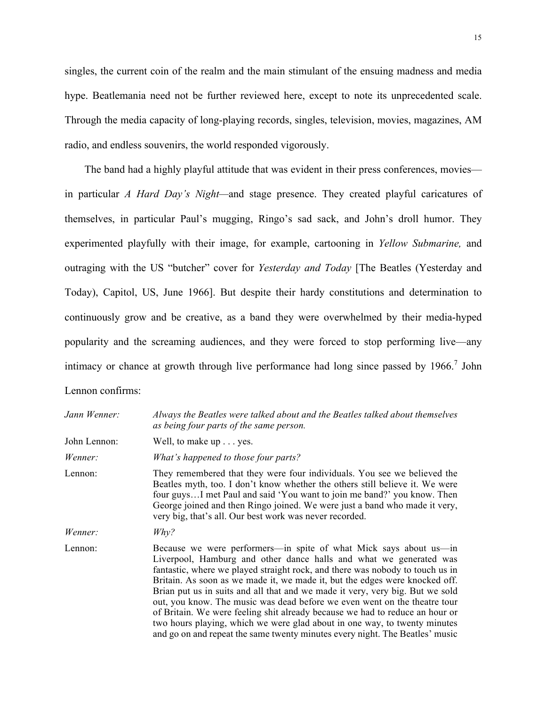singles, the current coin of the realm and the main stimulant of the ensuing madness and media hype. Beatlemania need not be further reviewed here, except to note its unprecedented scale. Through the media capacity of long-playing records, singles, television, movies, magazines, AM radio, and endless souvenirs, the world responded vigorously.

The band had a highly playful attitude that was evident in their press conferences, movies in particular *A Hard Day's Night—*and stage presence. They created playful caricatures of themselves, in particular Paul's mugging, Ringo's sad sack, and John's droll humor. They experimented playfully with their image, for example, cartooning in *Yellow Submarine,* and outraging with the US "butcher" cover for *Yesterday and Today* [The Beatles (Yesterday and Today), Capitol, US, June 1966]. But despite their hardy constitutions and determination to continuously grow and be creative, as a band they were overwhelmed by their media-hyped popularity and the screaming audiences, and they were forced to stop performing live—any intimacy or chance at growth through live performance had long since passed by  $1966$ .<sup>7</sup> John Lennon confirms:

| Jann Wenner: | Always the Beatles were talked about and the Beatles talked about themselves<br>as being four parts of the same person.                                                                                                                                                                                                                                                                                                                                                                                                                                                                                                                                                                                            |
|--------------|--------------------------------------------------------------------------------------------------------------------------------------------------------------------------------------------------------------------------------------------------------------------------------------------------------------------------------------------------------------------------------------------------------------------------------------------------------------------------------------------------------------------------------------------------------------------------------------------------------------------------------------------------------------------------------------------------------------------|
| John Lennon: | Well, to make $up \dots yes$ .                                                                                                                                                                                                                                                                                                                                                                                                                                                                                                                                                                                                                                                                                     |
| Wenner:      | What's happened to those four parts?                                                                                                                                                                                                                                                                                                                                                                                                                                                                                                                                                                                                                                                                               |
| Lennon:      | They remembered that they were four individuals. You see we believed the<br>Beatles myth, too. I don't know whether the others still believe it. We were<br>four guysI met Paul and said 'You want to join me band?' you know. Then<br>George joined and then Ringo joined. We were just a band who made it very,<br>very big, that's all. Our best work was never recorded.                                                                                                                                                                                                                                                                                                                                       |
| Wenner:      | Why?                                                                                                                                                                                                                                                                                                                                                                                                                                                                                                                                                                                                                                                                                                               |
| Lennon:      | Because we were performers—in spite of what Mick says about us—in<br>Liverpool, Hamburg and other dance halls and what we generated was<br>fantastic, where we played straight rock, and there was nobody to touch us in<br>Britain. As soon as we made it, we made it, but the edges were knocked off.<br>Brian put us in suits and all that and we made it very, very big. But we sold<br>out, you know. The music was dead before we even went on the theatre tour<br>of Britain. We were feeling shit already because we had to reduce an hour or<br>two hours playing, which we were glad about in one way, to twenty minutes<br>and go on and repeat the same twenty minutes every night. The Beatles' music |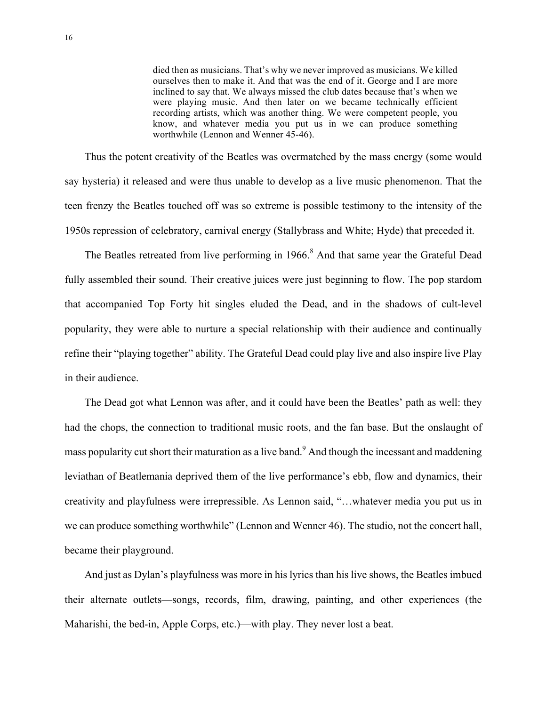died then as musicians. That's why we never improved as musicians. We killed ourselves then to make it. And that was the end of it. George and I are more inclined to say that. We always missed the club dates because that's when we were playing music. And then later on we became technically efficient recording artists, which was another thing. We were competent people, you know, and whatever media you put us in we can produce something worthwhile (Lennon and Wenner 45-46).

Thus the potent creativity of the Beatles was overmatched by the mass energy (some would say hysteria) it released and were thus unable to develop as a live music phenomenon. That the teen frenzy the Beatles touched off was so extreme is possible testimony to the intensity of the 1950s repression of celebratory, carnival energy (Stallybrass and White; Hyde) that preceded it.

The Beatles retreated from live performing in 1966.<sup>8</sup> And that same year the Grateful Dead fully assembled their sound. Their creative juices were just beginning to flow. The pop stardom that accompanied Top Forty hit singles eluded the Dead, and in the shadows of cult-level popularity, they were able to nurture a special relationship with their audience and continually refine their "playing together" ability. The Grateful Dead could play live and also inspire live Play in their audience.

The Dead got what Lennon was after, and it could have been the Beatles' path as well: they had the chops, the connection to traditional music roots, and the fan base. But the onslaught of mass popularity cut short their maturation as a live band.<sup>9</sup> And though the incessant and maddening leviathan of Beatlemania deprived them of the live performance's ebb, flow and dynamics, their creativity and playfulness were irrepressible. As Lennon said, "…whatever media you put us in we can produce something worthwhile" (Lennon and Wenner 46). The studio, not the concert hall, became their playground.

And just as Dylan's playfulness was more in his lyrics than his live shows, the Beatles imbued their alternate outlets—songs, records, film, drawing, painting, and other experiences (the Maharishi, the bed-in, Apple Corps, etc.)—with play. They never lost a beat.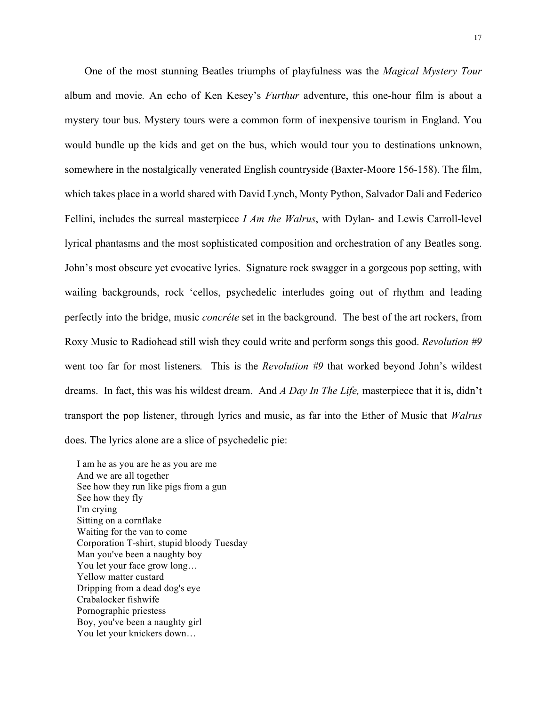One of the most stunning Beatles triumphs of playfulness was the *Magical Mystery Tour* album and movie*.* An echo of Ken Kesey's *Furthur* adventure, this one-hour film is about a mystery tour bus. Mystery tours were a common form of inexpensive tourism in England. You would bundle up the kids and get on the bus, which would tour you to destinations unknown, somewhere in the nostalgically venerated English countryside (Baxter-Moore 156-158). The film, which takes place in a world shared with David Lynch, Monty Python, Salvador Dali and Federico Fellini, includes the surreal masterpiece *I Am the Walrus*, with Dylan- and Lewis Carroll-level lyrical phantasms and the most sophisticated composition and orchestration of any Beatles song. John's most obscure yet evocative lyrics. Signature rock swagger in a gorgeous pop setting, with wailing backgrounds, rock 'cellos, psychedelic interludes going out of rhythm and leading perfectly into the bridge, music *concréte* set in the background. The best of the art rockers, from Roxy Music to Radiohead still wish they could write and perform songs this good. *Revolution #9* went too far for most listeners*.* This is the *Revolution #9* that worked beyond John's wildest dreams. In fact, this was his wildest dream. And *A Day In The Life,* masterpiece that it is, didn't transport the pop listener, through lyrics and music, as far into the Ether of Music that *Walrus* does. The lyrics alone are a slice of psychedelic pie:

I am he as you are he as you are me And we are all together See how they run like pigs from a gun See how they fly I'm crying Sitting on a cornflake Waiting for the van to come Corporation T-shirt, stupid bloody Tuesday Man you've been a naughty boy You let your face grow long… Yellow matter custard Dripping from a dead dog's eye Crabalocker fishwife Pornographic priestess Boy, you've been a naughty girl You let your knickers down…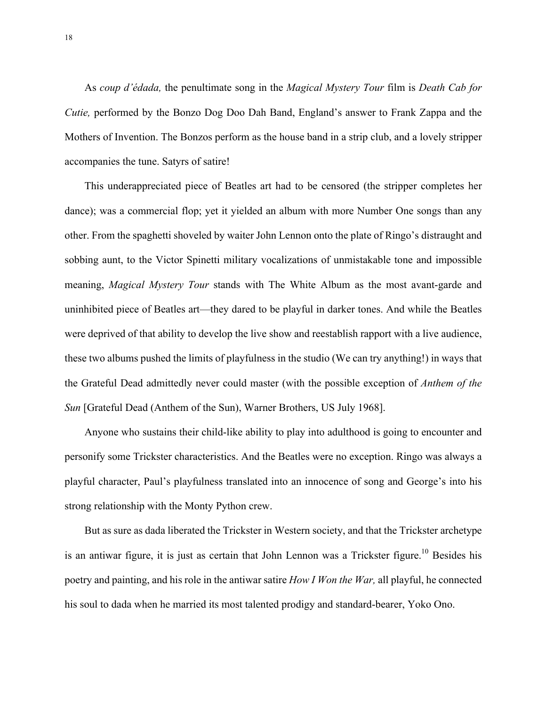As *coup d'édada,* the penultimate song in the *Magical Mystery Tour* film is *Death Cab for Cutie,* performed by the Bonzo Dog Doo Dah Band, England's answer to Frank Zappa and the Mothers of Invention. The Bonzos perform as the house band in a strip club, and a lovely stripper accompanies the tune. Satyrs of satire!

This underappreciated piece of Beatles art had to be censored (the stripper completes her dance); was a commercial flop; yet it yielded an album with more Number One songs than any other. From the spaghetti shoveled by waiter John Lennon onto the plate of Ringo's distraught and sobbing aunt, to the Victor Spinetti military vocalizations of unmistakable tone and impossible meaning, *Magical Mystery Tour* stands with The White Album as the most avant-garde and uninhibited piece of Beatles art—they dared to be playful in darker tones. And while the Beatles were deprived of that ability to develop the live show and reestablish rapport with a live audience, these two albums pushed the limits of playfulness in the studio (We can try anything!) in ways that the Grateful Dead admittedly never could master (with the possible exception of *Anthem of the Sun* [Grateful Dead (Anthem of the Sun), Warner Brothers, US July 1968].

Anyone who sustains their child-like ability to play into adulthood is going to encounter and personify some Trickster characteristics. And the Beatles were no exception. Ringo was always a playful character, Paul's playfulness translated into an innocence of song and George's into his strong relationship with the Monty Python crew.

But as sure as dada liberated the Trickster in Western society, and that the Trickster archetype is an antiwar figure, it is just as certain that John Lennon was a Trickster figure.<sup>10</sup> Besides his poetry and painting, and his role in the antiwar satire *How I Won the War,* all playful, he connected his soul to dada when he married its most talented prodigy and standard-bearer, Yoko Ono.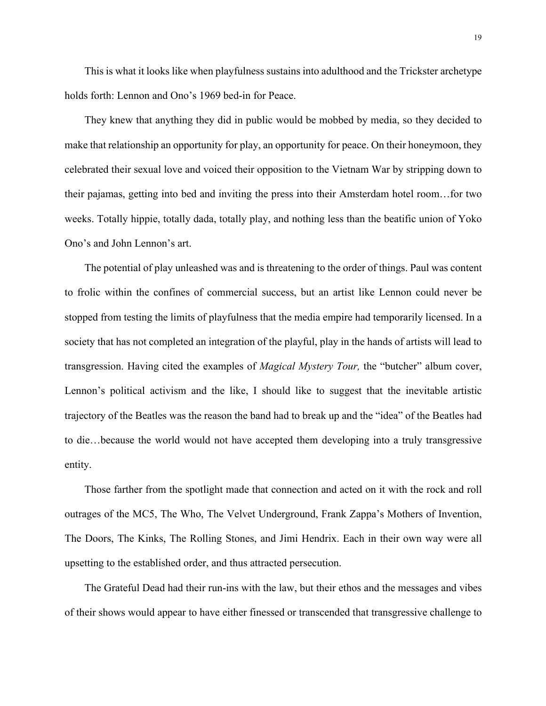This is what it looks like when playfulness sustains into adulthood and the Trickster archetype holds forth: Lennon and Ono's 1969 bed-in for Peace.

They knew that anything they did in public would be mobbed by media, so they decided to make that relationship an opportunity for play, an opportunity for peace. On their honeymoon, they celebrated their sexual love and voiced their opposition to the Vietnam War by stripping down to their pajamas, getting into bed and inviting the press into their Amsterdam hotel room…for two weeks. Totally hippie, totally dada, totally play, and nothing less than the beatific union of Yoko Ono's and John Lennon's art.

The potential of play unleashed was and is threatening to the order of things. Paul was content to frolic within the confines of commercial success, but an artist like Lennon could never be stopped from testing the limits of playfulness that the media empire had temporarily licensed. In a society that has not completed an integration of the playful, play in the hands of artists will lead to transgression. Having cited the examples of *Magical Mystery Tour,* the "butcher" album cover, Lennon's political activism and the like, I should like to suggest that the inevitable artistic trajectory of the Beatles was the reason the band had to break up and the "idea" of the Beatles had to die…because the world would not have accepted them developing into a truly transgressive entity.

Those farther from the spotlight made that connection and acted on it with the rock and roll outrages of the MC5, The Who, The Velvet Underground, Frank Zappa's Mothers of Invention, The Doors, The Kinks, The Rolling Stones, and Jimi Hendrix. Each in their own way were all upsetting to the established order, and thus attracted persecution.

The Grateful Dead had their run-ins with the law, but their ethos and the messages and vibes of their shows would appear to have either finessed or transcended that transgressive challenge to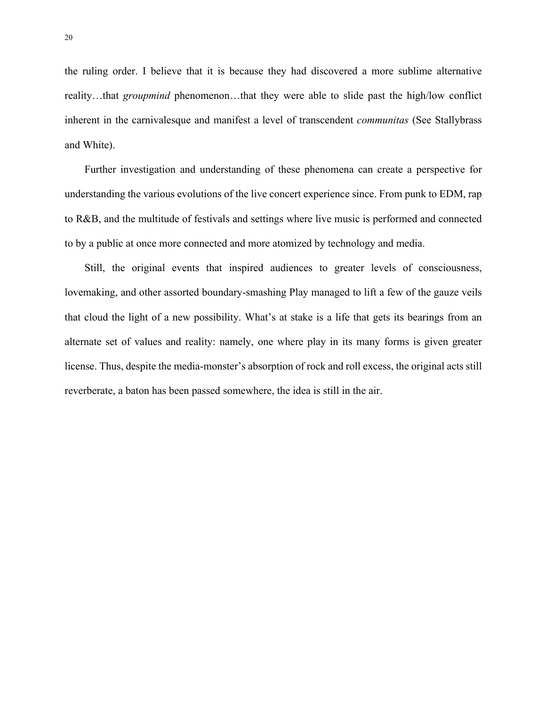the ruling order. I believe that it is because they had discovered a more sublime alternative reality…that *groupmind* phenomenon…that they were able to slide past the high/low conflict inherent in the carnivalesque and manifest a level of transcendent *communitas* (See Stallybrass and White).

Further investigation and understanding of these phenomena can create a perspective for understanding the various evolutions of the live concert experience since. From punk to EDM, rap to R&B, and the multitude of festivals and settings where live music is performed and connected to by a public at once more connected and more atomized by technology and media.

Still, the original events that inspired audiences to greater levels of consciousness, lovemaking, and other assorted boundary-smashing Play managed to lift a few of the gauze veils that cloud the light of a new possibility. What's at stake is a life that gets its bearings from an alternate set of values and reality: namely, one where play in its many forms is given greater license. Thus, despite the media-monster's absorption of rock and roll excess, the original acts still reverberate, a baton has been passed somewhere, the idea is still in the air.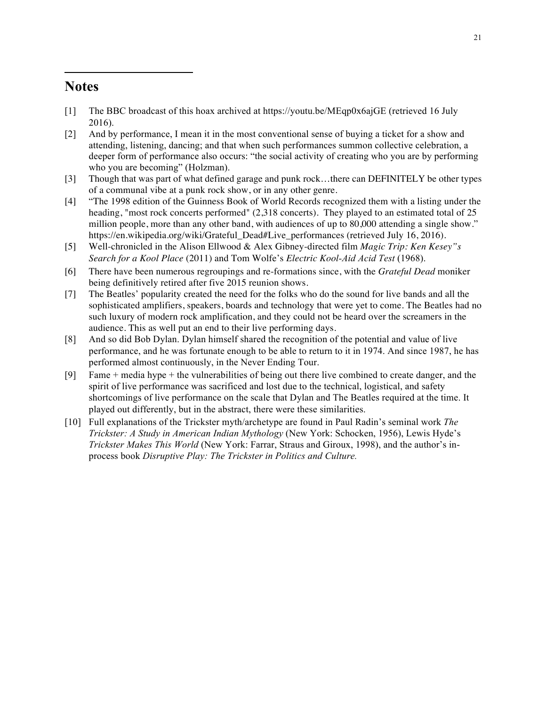## **Notes**

 

- [1] The BBC broadcast of this hoax archived at https://youtu.be/MEqp0x6ajGE (retrieved 16 July 2016).
- [2] And by performance, I mean it in the most conventional sense of buying a ticket for a show and attending, listening, dancing; and that when such performances summon collective celebration, a deeper form of performance also occurs: "the social activity of creating who you are by performing who you are becoming" (Holzman).
- [3] Though that was part of what defined garage and punk rock…there can DEFINITELY be other types of a communal vibe at a punk rock show, or in any other genre.
- [4] "The 1998 edition of the Guinness Book of World Records recognized them with a listing under the heading, "most rock concerts performed" (2,318 concerts). They played to an estimated total of 25 million people, more than any other band, with audiences of up to 80,000 attending a single show." https://en.wikipedia.org/wiki/Grateful\_Dead#Live\_performances (retrieved July 16, 2016).
- [5] Well-chronicled in the Alison Ellwood & Alex Gibney-directed film *Magic Trip: Ken Kesey"s Search for a Kool Place* (2011) and Tom Wolfe's *Electric Kool-Aid Acid Test* (1968).
- [6] There have been numerous regroupings and re-formations since, with the *Grateful Dead* moniker being definitively retired after five 2015 reunion shows.
- [7] The Beatles' popularity created the need for the folks who do the sound for live bands and all the sophisticated amplifiers, speakers, boards and technology that were yet to come. The Beatles had no such luxury of modern rock amplification, and they could not be heard over the screamers in the audience. This as well put an end to their live performing days.
- [8] And so did Bob Dylan. Dylan himself shared the recognition of the potential and value of live performance, and he was fortunate enough to be able to return to it in 1974. And since 1987, he has performed almost continuously, in the Never Ending Tour.
- [9] Fame + media hype + the vulnerabilities of being out there live combined to create danger, and the spirit of live performance was sacrificed and lost due to the technical, logistical, and safety shortcomings of live performance on the scale that Dylan and The Beatles required at the time. It played out differently, but in the abstract, there were these similarities.
- [10] Full explanations of the Trickster myth/archetype are found in Paul Radin's seminal work *The Trickster: A Study in American Indian Mythology* (New York: Schocken, 1956), Lewis Hyde's *Trickster Makes This World* (New York: Farrar, Straus and Giroux, 1998), and the author's inprocess book *Disruptive Play: The Trickster in Politics and Culture.*